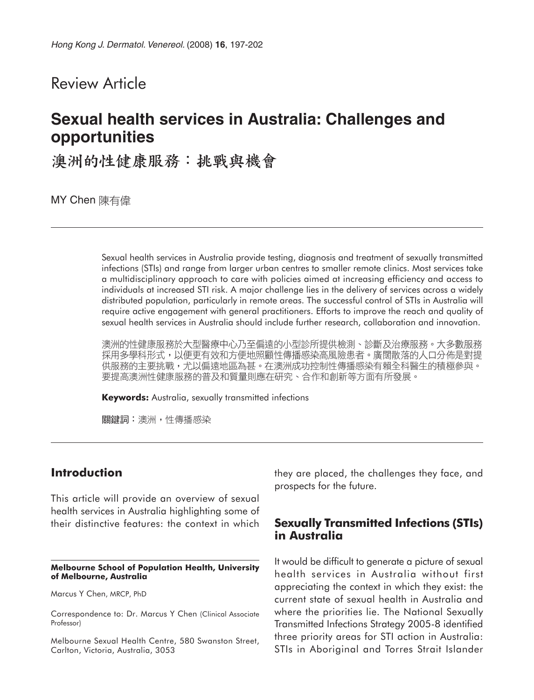## Review Article

# **Sexual health services in Australia: Challenges and opportunities**

澳洲的性健康服務:挑戰與機會

MY Chen 陳有偉

Sexual health services in Australia provide testing, diagnosis and treatment of sexually transmitted infections (STIs) and range from larger urban centres to smaller remote clinics. Most services take a multidisciplinary approach to care with policies aimed at increasing efficiency and access to individuals at increased STI risk. A major challenge lies in the delivery of services across a widely distributed population, particularly in remote areas. The successful control of STIs in Australia will require active engagement with general practitioners. Efforts to improve the reach and quality of sexual health services in Australia should include further research, collaboration and innovation.

澳洲的性健康服務於大型醫療中心乃至偏遠的小型診所提供檢測、診斷及治療服務。大多數服務 採用多學科形式,以便更有效和方便地照顧性傳播感染高風險患者。廣闊散落的人口分佈是對提 供服務的主要挑戰,尤以偏遠地區為甚。在澳洲成功控制性傳播感染有賴全科醫生的積極參與。 要提高澳洲性健康服務的普及和質量則應在研究、合作和創新等方面有所發展。

**Keywords:** Australia, sexually transmitted infections

關鍵詞:澳洲,性傳播感染

#### **Introduction**

This article will provide an overview of sexual health services in Australia highlighting some of their distinctive features: the context in which

#### **Melbourne School of Population Health, University of Melbourne, Australia**

Marcus Y Chen, MRCP, PhD

Correspondence to: Dr. Marcus Y Chen (Clinical Associate Professor)

Melbourne Sexual Health Centre, 580 Swanston Street, Carlton, Victoria, Australia, 3053

they are placed, the challenges they face, and prospects for the future.

#### **Sexually Transmitted Infections (STIs) in Australia**

It would be difficult to generate a picture of sexual health services in Australia without first appreciating the context in which they exist: the current state of sexual health in Australia and where the priorities lie. The National Sexually Transmitted Infections Strategy 2005-8 identified three priority areas for STI action in Australia: STIs in Aboriginal and Torres Strait Islander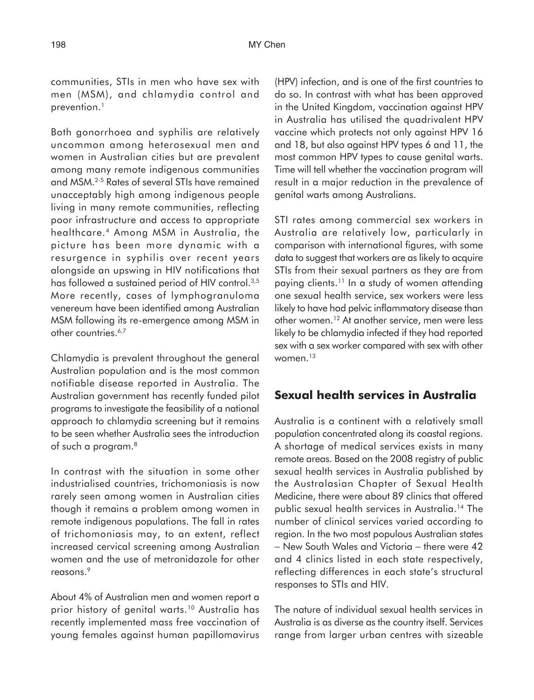communities, STIs in men who have sex with men (MSM), and chlamydia control and prevention.<sup>1</sup>

Both gonorrhoea and syphilis are relatively uncommon among heterosexual men and women in Australian cities but are prevalent among many remote indigenous communities and MSM.2-5 Rates of several STIs have remained unacceptably high among indigenous people living in many remote communities, reflecting poor infrastructure and access to appropriate healthcare.4 Among MSM in Australia, the picture has been more dynamic with a resurgence in syphilis over recent years alongside an upswing in HIV notifications that has followed a sustained period of HIV control.<sup>3,5</sup> More recently, cases of lymphogranuloma venereum have been identified among Australian MSM following its re-emergence among MSM in other countries.<sup>6,7</sup>

Chlamydia is prevalent throughout the general Australian population and is the most common notifiable disease reported in Australia. The Australian government has recently funded pilot programs to investigate the feasibility of a national approach to chlamydia screening but it remains to be seen whether Australia sees the introduction of such a program.8

In contrast with the situation in some other industrialised countries, trichomoniasis is now rarely seen among women in Australian cities though it remains a problem among women in remote indigenous populations. The fall in rates of trichomoniasis may, to an extent, reflect increased cervical screening among Australian women and the use of metronidazole for other reasons.<sup>9</sup>

About 4% of Australian men and women report a prior history of genital warts.<sup>10</sup> Australia has recently implemented mass free vaccination of young females against human papillomavirus

(HPV) infection, and is one of the first countries to do so. In contrast with what has been approved in the United Kingdom, vaccination against HPV in Australia has utilised the quadrivalent HPV vaccine which protects not only against HPV 16 and 18, but also against HPV types 6 and 11, the most common HPV types to cause genital warts. Time will tell whether the vaccination program will result in a major reduction in the prevalence of genital warts among Australians.

STI rates among commercial sex workers in Australia are relatively low, particularly in comparison with international figures, with some data to suggest that workers are as likely to acquire STIs from their sexual partners as they are from paying clients.<sup>11</sup> In a study of women attending one sexual health service, sex workers were less likely to have had pelvic inflammatory disease than other women.12 At another service, men were less likely to be chlamydia infected if they had reported sex with a sex worker compared with sex with other women.13

#### **Sexual health services in Australia**

Australia is a continent with a relatively small population concentrated along its coastal regions. A shortage of medical services exists in many remote areas. Based on the 2008 registry of public sexual health services in Australia published by the Australasian Chapter of Sexual Health Medicine, there were about 89 clinics that offered public sexual health services in Australia.14 The number of clinical services varied according to region. In the two most populous Australian states − New South Wales and Victoria − there were 42 and 4 clinics listed in each state respectively, reflecting differences in each state's structural responses to STIs and HIV.

The nature of individual sexual health services in Australia is as diverse as the country itself. Services range from larger urban centres with sizeable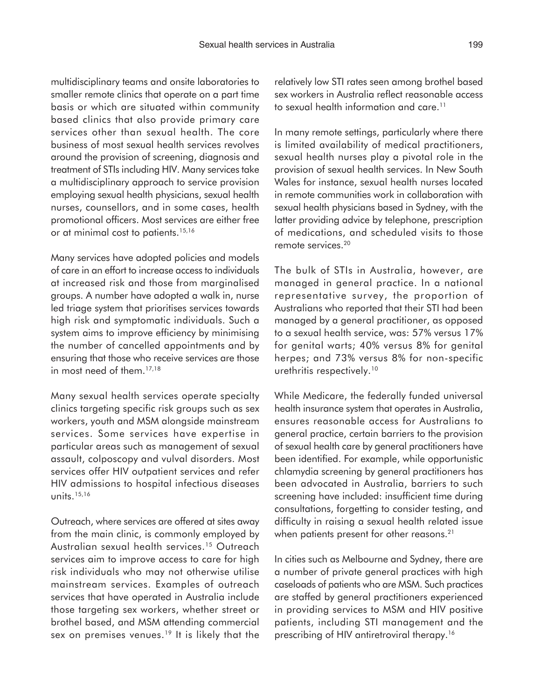multidisciplinary teams and onsite laboratories to smaller remote clinics that operate on a part time basis or which are situated within community based clinics that also provide primary care services other than sexual health. The core business of most sexual health services revolves around the provision of screening, diagnosis and treatment of STIs including HIV. Many services take a multidisciplinary approach to service provision employing sexual health physicians, sexual health nurses, counsellors, and in some cases, health promotional officers. Most services are either free or at minimal cost to patients.<sup>15,16</sup>

Many services have adopted policies and models of care in an effort to increase access to individuals at increased risk and those from marginalised groups. A number have adopted a walk in, nurse led triage system that prioritises services towards high risk and symptomatic individuals. Such a system aims to improve efficiency by minimising the number of cancelled appointments and by ensuring that those who receive services are those in most need of them.<sup>17,18</sup>

Many sexual health services operate specialty clinics targeting specific risk groups such as sex workers, youth and MSM alongside mainstream services. Some services have expertise in particular areas such as management of sexual assault, colposcopy and vulval disorders. Most services offer HIV outpatient services and refer HIV admissions to hospital infectious diseases units.15,16

Outreach, where services are offered at sites away from the main clinic, is commonly employed by Australian sexual health services.15 Outreach services aim to improve access to care for high risk individuals who may not otherwise utilise mainstream services. Examples of outreach services that have operated in Australia include those targeting sex workers, whether street or brothel based, and MSM attending commercial sex on premises venues.<sup>19</sup> It is likely that the relatively low STI rates seen among brothel based sex workers in Australia reflect reasonable access to sexual health information and care.<sup>11</sup>

In many remote settings, particularly where there is limited availability of medical practitioners, sexual health nurses play a pivotal role in the provision of sexual health services. In New South Wales for instance, sexual health nurses located in remote communities work in collaboration with sexual health physicians based in Sydney, with the latter providing advice by telephone, prescription of medications, and scheduled visits to those remote services.20

The bulk of STIs in Australia, however, are managed in general practice. In a national representative survey, the proportion of Australians who reported that their STI had been managed by a general practitioner, as opposed to a sexual health service, was: 57% versus 17% for genital warts; 40% versus 8% for genital herpes; and 73% versus 8% for non-specific urethritis respectively.<sup>10</sup>

While Medicare, the federally funded universal health insurance system that operates in Australia, ensures reasonable access for Australians to general practice, certain barriers to the provision of sexual health care by general practitioners have been identified. For example, while opportunistic chlamydia screening by general practitioners has been advocated in Australia, barriers to such screening have included: insufficient time during consultations, forgetting to consider testing, and difficulty in raising a sexual health related issue when patients present for other reasons.<sup>21</sup>

In cities such as Melbourne and Sydney, there are a number of private general practices with high caseloads of patients who are MSM. Such practices are staffed by general practitioners experienced in providing services to MSM and HIV positive patients, including STI management and the prescribing of HIV antiretroviral therapy.<sup>16</sup>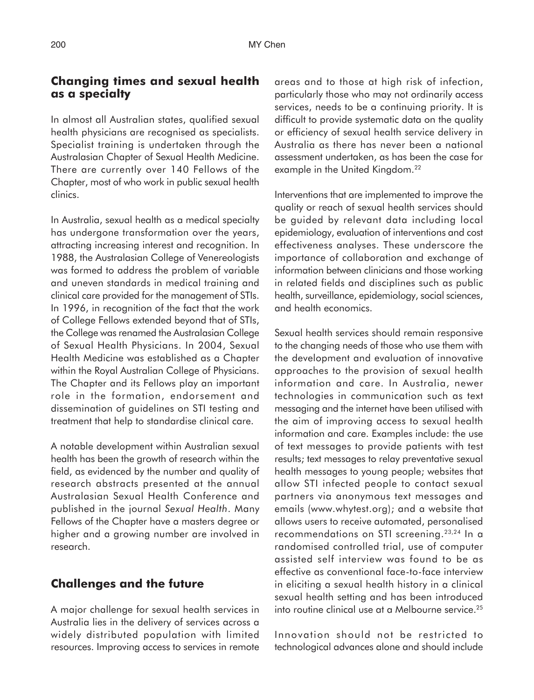#### **Changing times and sexual health as a specialty**

In almost all Australian states, qualified sexual health physicians are recognised as specialists. Specialist training is undertaken through the Australasian Chapter of Sexual Health Medicine. There are currently over 140 Fellows of the Chapter, most of who work in public sexual health clinics.

In Australia, sexual health as a medical specialty has undergone transformation over the years, attracting increasing interest and recognition. In 1988, the Australasian College of Venereologists was formed to address the problem of variable and uneven standards in medical training and clinical care provided for the management of STIs. In 1996, in recognition of the fact that the work of College Fellows extended beyond that of STIs, the College was renamed the Australasian College of Sexual Health Physicians. In 2004, Sexual Health Medicine was established as a Chapter within the Royal Australian College of Physicians. The Chapter and its Fellows play an important role in the formation, endorsement and dissemination of guidelines on STI testing and treatment that help to standardise clinical care.

A notable development within Australian sexual health has been the growth of research within the field, as evidenced by the number and quality of research abstracts presented at the annual Australasian Sexual Health Conference and published in the journal *Sexual Health*. Many Fellows of the Chapter have a masters degree or higher and a growing number are involved in research.

### **Challenges and the future**

A major challenge for sexual health services in Australia lies in the delivery of services across a widely distributed population with limited resources. Improving access to services in remote

areas and to those at high risk of infection, particularly those who may not ordinarily access services, needs to be a continuing priority. It is difficult to provide systematic data on the quality or efficiency of sexual health service delivery in Australia as there has never been a national assessment undertaken, as has been the case for example in the United Kingdom.<sup>22</sup>

Interventions that are implemented to improve the quality or reach of sexual health services should be guided by relevant data including local epidemiology, evaluation of interventions and cost effectiveness analyses. These underscore the importance of collaboration and exchange of information between clinicians and those working in related fields and disciplines such as public health, surveillance, epidemiology, social sciences, and health economics.

Sexual health services should remain responsive to the changing needs of those who use them with the development and evaluation of innovative approaches to the provision of sexual health information and care. In Australia, newer technologies in communication such as text messaging and the internet have been utilised with the aim of improving access to sexual health information and care. Examples include: the use of text messages to provide patients with test results; text messages to relay preventative sexual health messages to young people; websites that allow STI infected people to contact sexual partners via anonymous text messages and emails (www.whytest.org); and a website that allows users to receive automated, personalised recommendations on STI screening.<sup>23,24</sup> In a randomised controlled trial, use of computer assisted self interview was found to be as effective as conventional face-to-face interview in eliciting a sexual health history in a clinical sexual health setting and has been introduced into routine clinical use at a Melbourne service.25

Innovation should not be restricted to technological advances alone and should include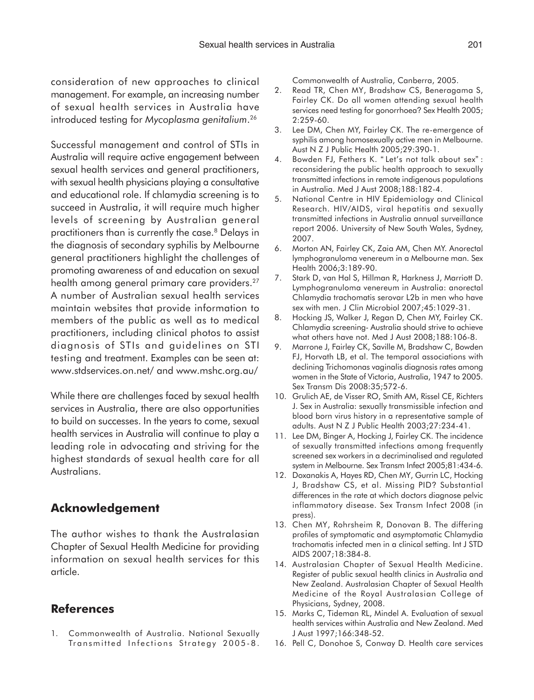consideration of new approaches to clinical management. For example, an increasing number of sexual health services in Australia have introduced testing for *Mycoplasma genitalium*. 26

Successful management and control of STIs in Australia will require active engagement between sexual health services and general practitioners, with sexual health physicians playing a consultative and educational role. If chlamydia screening is to succeed in Australia, it will require much higher levels of screening by Australian general practitioners than is currently the case.<sup>8</sup> Delays in the diagnosis of secondary syphilis by Melbourne general practitioners highlight the challenges of promoting awareness of and education on sexual health among general primary care providers.27 A number of Australian sexual health services maintain websites that provide information to members of the public as well as to medical practitioners, including clinical photos to assist diagnosis of STIs and guidelines on STI testing and treatment. Examples can be seen at: www.stdservices.on.net/ and www.mshc.org.au/

While there are challenges faced by sexual health services in Australia, there are also opportunities to build on successes. In the years to come, sexual health services in Australia will continue to play a leading role in advocating and striving for the highest standards of sexual health care for all Australians.

### **Acknowledgement**

The author wishes to thank the Australasian Chapter of Sexual Health Medicine for providing information on sexual health services for this article.

#### **References**

1. Commonwealth of Australia. National Sexually Transmitted Infections Strategy 2005-8. Commonwealth of Australia, Canberra, 2005.

- 2. Read TR, Chen MY, Bradshaw CS, Beneragama S, Fairley CK. Do all women attending sexual health services need testing for gonorrhoea? Sex Health 2005; 2:259-60.
- 3. Lee DM, Chen MY, Fairley CK. The re-emergence of syphilis among homosexually active men in Melbourne. Aust N Z J Public Health 2005;29:390-1.
- 4. Bowden FJ, Fethers K. " Let's not talk about sex" : reconsidering the public health approach to sexually transmitted infections in remote indigenous populations in Australia. Med J Aust 2008;188:182-4.
- 5. National Centre in HIV Epidemiology and Clinical Research. HIV/AIDS, viral hepatitis and sexually transmitted infections in Australia annual surveillance report 2006. University of New South Wales, Sydney, 2007.
- 6. Morton AN, Fairley CK, Zaia AM, Chen MY. Anorectal lymphogranuloma venereum in a Melbourne man. Sex Health 2006;3:189-90.
- 7. Stark D, van Hal S, Hillman R, Harkness J, Marriott D. Lymphogranuloma venereum in Australia: anorectal Chlamydia trachomatis serovar L2b in men who have sex with men. J Clin Microbiol 2007;45:1029-31.
- 8. Hocking JS, Walker J, Regan D, Chen MY, Fairley CK. Chlamydia screening- Australia should strive to achieve what others have not. Med J Aust 2008;188:106-8.
- 9. Marrone J, Fairley CK, Saville M, Bradshaw C, Bowden FJ, Horvath LB, et al. The temporal associations with declining Trichomonas vaginalis diagnosis rates among women in the State of Victoria, Australia, 1947 to 2005. Sex Transm Dis 2008:35;572-6.
- 10. Grulich AE, de Visser RO, Smith AM, Rissel CE, Richters J. Sex in Australia: sexually transmissible infection and blood born virus history in a representative sample of adults. Aust N Z J Public Health 2003;27:234-41.
- 11. Lee DM, Binger A, Hocking J, Fairley CK. The incidence of sexually transmitted infections among frequently screened sex workers in a decriminalised and regulated system in Melbourne. Sex Transm Infect 2005;81:434-6.
- 12. Doxanakis A, Hayes RD, Chen MY, Gurrin LC, Hocking J, Bradshaw CS, et al. Missing PID? Substantial differences in the rate at which doctors diagnose pelvic inflammatory disease. Sex Transm Infect 2008 (in press).
- 13. Chen MY, Rohrsheim R, Donovan B. The differing profiles of symptomatic and asymptomatic Chlamydia trachomatis infected men in a clinical setting. Int J STD AIDS 2007;18:384-8.
- 14. Australasian Chapter of Sexual Health Medicine. Register of public sexual health clinics in Australia and New Zealand. Australasian Chapter of Sexual Health Medicine of the Royal Australasian College of Physicians, Sydney, 2008.
- 15. Marks C, Tideman RL, Mindel A. Evaluation of sexual health services within Australia and New Zealand. Med J Aust 1997;166:348-52.
- 16. Pell C, Donohoe S, Conway D. Health care services